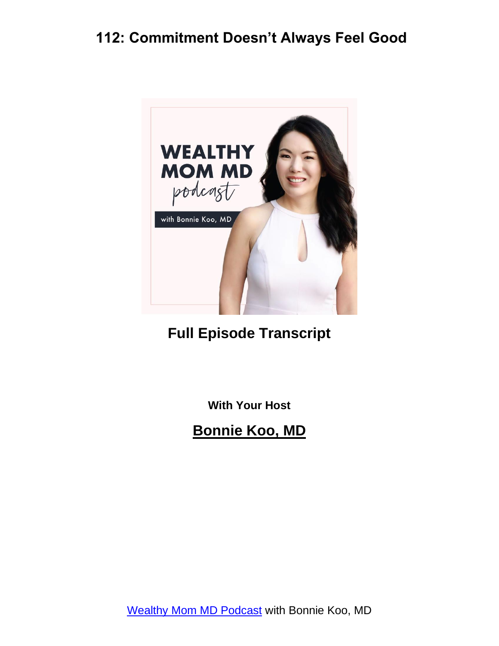

#### **Full Episode Transcript**

**With Your Host**

**Bonnie Koo, MD**

[Wealthy Mom MD Podcast](https://wealthymommd.com/podcast/) with Bonnie Koo, MD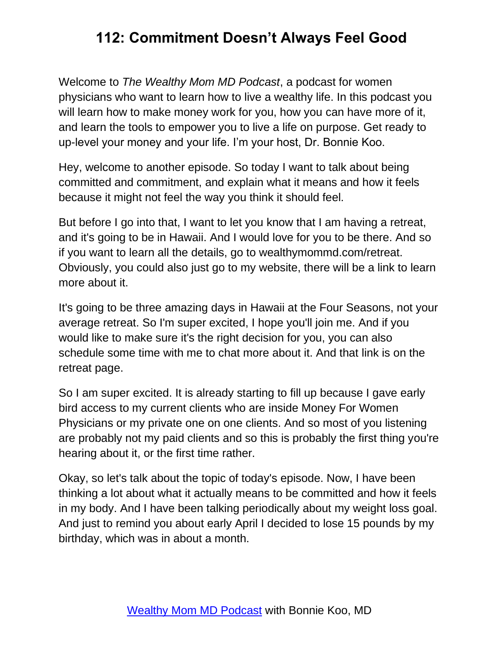Welcome to *The Wealthy Mom MD Podcast*, a podcast for women physicians who want to learn how to live a wealthy life. In this podcast you will learn how to make money work for you, how you can have more of it, and learn the tools to empower you to live a life on purpose. Get ready to up-level your money and your life. I'm your host, Dr. Bonnie Koo.

Hey, welcome to another episode. So today I want to talk about being committed and commitment, and explain what it means and how it feels because it might not feel the way you think it should feel.

But before I go into that, I want to let you know that I am having a retreat, and it's going to be in Hawaii. And I would love for you to be there. And so if you want to learn all the details, go to wealthymommd.com/retreat. Obviously, you could also just go to my website, there will be a link to learn more about it.

It's going to be three amazing days in Hawaii at the Four Seasons, not your average retreat. So I'm super excited, I hope you'll join me. And if you would like to make sure it's the right decision for you, you can also schedule some time with me to chat more about it. And that link is on the retreat page.

So I am super excited. It is already starting to fill up because I gave early bird access to my current clients who are inside Money For Women Physicians or my private one on one clients. And so most of you listening are probably not my paid clients and so this is probably the first thing you're hearing about it, or the first time rather.

Okay, so let's talk about the topic of today's episode. Now, I have been thinking a lot about what it actually means to be committed and how it feels in my body. And I have been talking periodically about my weight loss goal. And just to remind you about early April I decided to lose 15 pounds by my birthday, which was in about a month.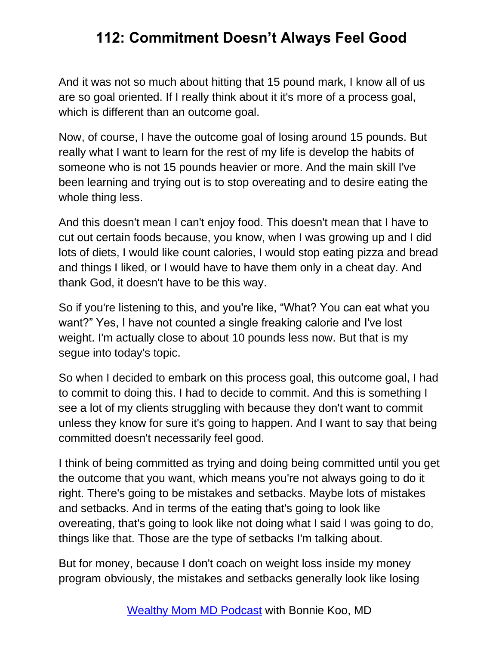And it was not so much about hitting that 15 pound mark, I know all of us are so goal oriented. If I really think about it it's more of a process goal, which is different than an outcome goal.

Now, of course, I have the outcome goal of losing around 15 pounds. But really what I want to learn for the rest of my life is develop the habits of someone who is not 15 pounds heavier or more. And the main skill I've been learning and trying out is to stop overeating and to desire eating the whole thing less.

And this doesn't mean I can't enjoy food. This doesn't mean that I have to cut out certain foods because, you know, when I was growing up and I did lots of diets, I would like count calories, I would stop eating pizza and bread and things I liked, or I would have to have them only in a cheat day. And thank God, it doesn't have to be this way.

So if you're listening to this, and you're like, "What? You can eat what you want?" Yes, I have not counted a single freaking calorie and I've lost weight. I'm actually close to about 10 pounds less now. But that is my segue into today's topic.

So when I decided to embark on this process goal, this outcome goal, I had to commit to doing this. I had to decide to commit. And this is something I see a lot of my clients struggling with because they don't want to commit unless they know for sure it's going to happen. And I want to say that being committed doesn't necessarily feel good.

I think of being committed as trying and doing being committed until you get the outcome that you want, which means you're not always going to do it right. There's going to be mistakes and setbacks. Maybe lots of mistakes and setbacks. And in terms of the eating that's going to look like overeating, that's going to look like not doing what I said I was going to do, things like that. Those are the type of setbacks I'm talking about.

But for money, because I don't coach on weight loss inside my money program obviously, the mistakes and setbacks generally look like losing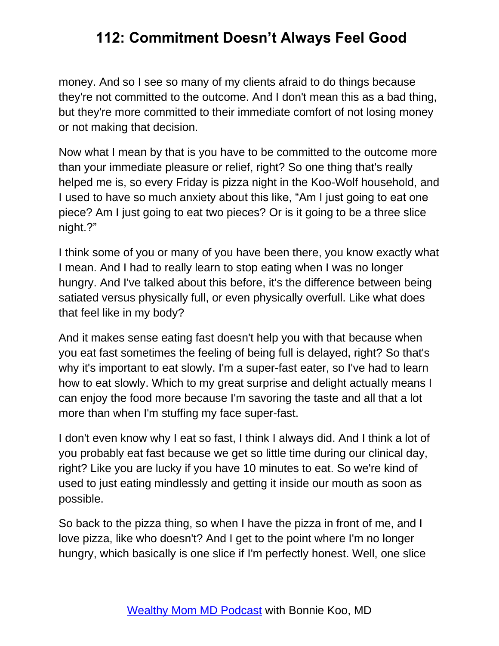money. And so I see so many of my clients afraid to do things because they're not committed to the outcome. And I don't mean this as a bad thing, but they're more committed to their immediate comfort of not losing money or not making that decision.

Now what I mean by that is you have to be committed to the outcome more than your immediate pleasure or relief, right? So one thing that's really helped me is, so every Friday is pizza night in the Koo-Wolf household, and I used to have so much anxiety about this like, "Am I just going to eat one piece? Am I just going to eat two pieces? Or is it going to be a three slice night.?"

I think some of you or many of you have been there, you know exactly what I mean. And I had to really learn to stop eating when I was no longer hungry. And I've talked about this before, it's the difference between being satiated versus physically full, or even physically overfull. Like what does that feel like in my body?

And it makes sense eating fast doesn't help you with that because when you eat fast sometimes the feeling of being full is delayed, right? So that's why it's important to eat slowly. I'm a super-fast eater, so I've had to learn how to eat slowly. Which to my great surprise and delight actually means I can enjoy the food more because I'm savoring the taste and all that a lot more than when I'm stuffing my face super-fast.

I don't even know why I eat so fast, I think I always did. And I think a lot of you probably eat fast because we get so little time during our clinical day, right? Like you are lucky if you have 10 minutes to eat. So we're kind of used to just eating mindlessly and getting it inside our mouth as soon as possible.

So back to the pizza thing, so when I have the pizza in front of me, and I love pizza, like who doesn't? And I get to the point where I'm no longer hungry, which basically is one slice if I'm perfectly honest. Well, one slice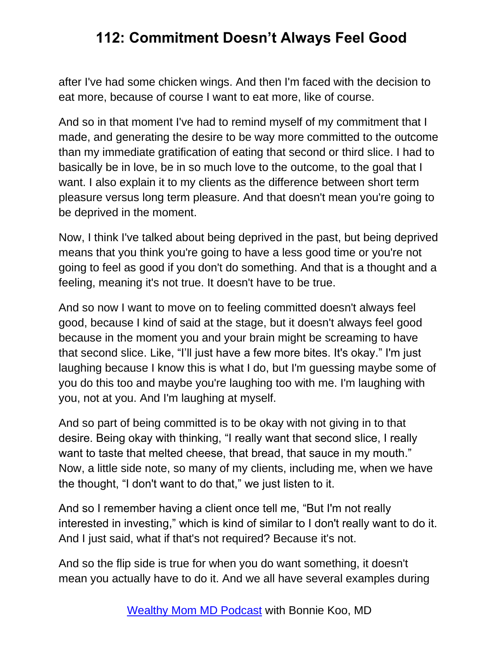after I've had some chicken wings. And then I'm faced with the decision to eat more, because of course I want to eat more, like of course.

And so in that moment I've had to remind myself of my commitment that I made, and generating the desire to be way more committed to the outcome than my immediate gratification of eating that second or third slice. I had to basically be in love, be in so much love to the outcome, to the goal that I want. I also explain it to my clients as the difference between short term pleasure versus long term pleasure. And that doesn't mean you're going to be deprived in the moment.

Now, I think I've talked about being deprived in the past, but being deprived means that you think you're going to have a less good time or you're not going to feel as good if you don't do something. And that is a thought and a feeling, meaning it's not true. It doesn't have to be true.

And so now I want to move on to feeling committed doesn't always feel good, because I kind of said at the stage, but it doesn't always feel good because in the moment you and your brain might be screaming to have that second slice. Like, "I'll just have a few more bites. It's okay." I'm just laughing because I know this is what I do, but I'm guessing maybe some of you do this too and maybe you're laughing too with me. I'm laughing with you, not at you. And I'm laughing at myself.

And so part of being committed is to be okay with not giving in to that desire. Being okay with thinking, "I really want that second slice, I really want to taste that melted cheese, that bread, that sauce in my mouth." Now, a little side note, so many of my clients, including me, when we have the thought, "I don't want to do that," we just listen to it.

And so I remember having a client once tell me, "But I'm not really interested in investing," which is kind of similar to I don't really want to do it. And I just said, what if that's not required? Because it's not.

And so the flip side is true for when you do want something, it doesn't mean you actually have to do it. And we all have several examples during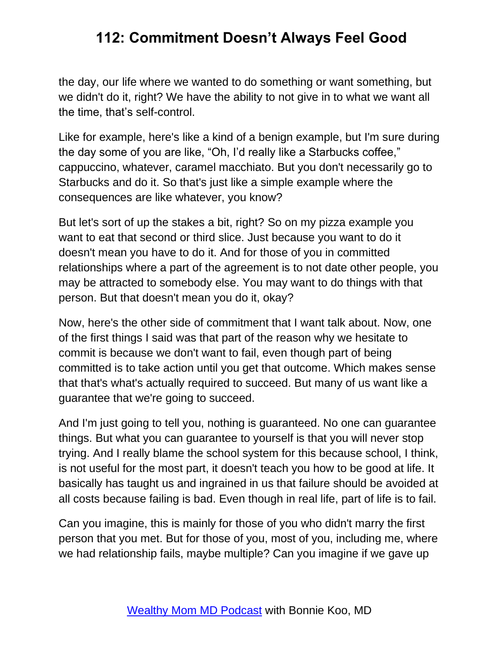the day, our life where we wanted to do something or want something, but we didn't do it, right? We have the ability to not give in to what we want all the time, that's self-control.

Like for example, here's like a kind of a benign example, but I'm sure during the day some of you are like, "Oh, I'd really like a Starbucks coffee," cappuccino, whatever, caramel macchiato. But you don't necessarily go to Starbucks and do it. So that's just like a simple example where the consequences are like whatever, you know?

But let's sort of up the stakes a bit, right? So on my pizza example you want to eat that second or third slice. Just because you want to do it doesn't mean you have to do it. And for those of you in committed relationships where a part of the agreement is to not date other people, you may be attracted to somebody else. You may want to do things with that person. But that doesn't mean you do it, okay?

Now, here's the other side of commitment that I want talk about. Now, one of the first things I said was that part of the reason why we hesitate to commit is because we don't want to fail, even though part of being committed is to take action until you get that outcome. Which makes sense that that's what's actually required to succeed. But many of us want like a guarantee that we're going to succeed.

And I'm just going to tell you, nothing is guaranteed. No one can guarantee things. But what you can guarantee to yourself is that you will never stop trying. And I really blame the school system for this because school, I think, is not useful for the most part, it doesn't teach you how to be good at life. It basically has taught us and ingrained in us that failure should be avoided at all costs because failing is bad. Even though in real life, part of life is to fail.

Can you imagine, this is mainly for those of you who didn't marry the first person that you met. But for those of you, most of you, including me, where we had relationship fails, maybe multiple? Can you imagine if we gave up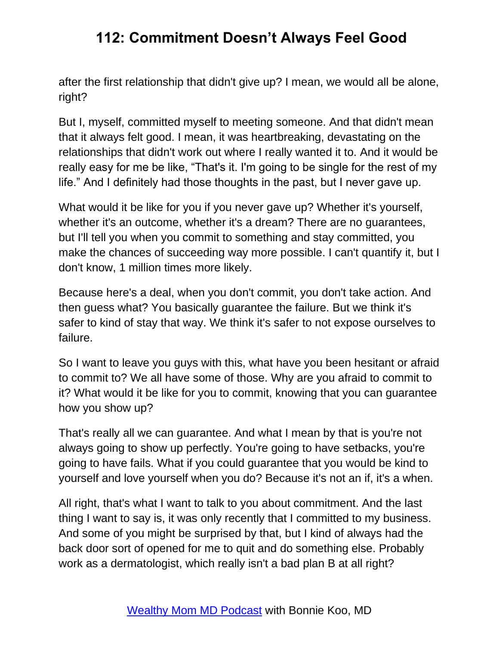after the first relationship that didn't give up? I mean, we would all be alone, right?

But I, myself, committed myself to meeting someone. And that didn't mean that it always felt good. I mean, it was heartbreaking, devastating on the relationships that didn't work out where I really wanted it to. And it would be really easy for me be like, "That's it. I'm going to be single for the rest of my life." And I definitely had those thoughts in the past, but I never gave up.

What would it be like for you if you never gave up? Whether it's yourself, whether it's an outcome, whether it's a dream? There are no guarantees, but I'll tell you when you commit to something and stay committed, you make the chances of succeeding way more possible. I can't quantify it, but I don't know, 1 million times more likely.

Because here's a deal, when you don't commit, you don't take action. And then guess what? You basically guarantee the failure. But we think it's safer to kind of stay that way. We think it's safer to not expose ourselves to failure.

So I want to leave you guys with this, what have you been hesitant or afraid to commit to? We all have some of those. Why are you afraid to commit to it? What would it be like for you to commit, knowing that you can guarantee how you show up?

That's really all we can guarantee. And what I mean by that is you're not always going to show up perfectly. You're going to have setbacks, you're going to have fails. What if you could guarantee that you would be kind to yourself and love yourself when you do? Because it's not an if, it's a when.

All right, that's what I want to talk to you about commitment. And the last thing I want to say is, it was only recently that I committed to my business. And some of you might be surprised by that, but I kind of always had the back door sort of opened for me to quit and do something else. Probably work as a dermatologist, which really isn't a bad plan B at all right?